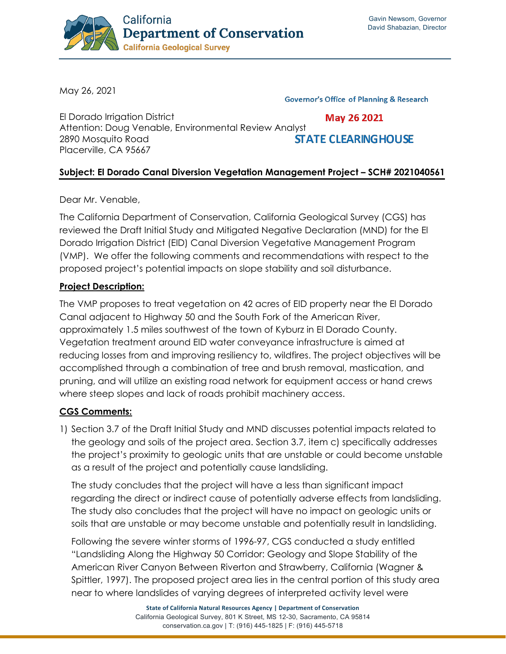

May 26, 2021

**Governor's Office of Planning & Research** 

El Dorado Irrigation District May 26 2021 Attention: Doug Venable, Environmental Review Analyst **STATE CLEARINGHOUSE** 2890 Mosquito Road Placerville, CA 95667

## **Subject: El Dorado Canal Diversion Vegetation Management Project – SCH# 2021040561**

Dear Mr. Venable,

The California Department of Conservation, California Geological Survey (CGS) has reviewed the Draft Initial Study and Mitigated Negative Declaration (MND) for the El Dorado Irrigation District (EID) Canal Diversion Vegetative Management Program (VMP). We offer the following comments and recommendations with respect to the proposed project's potential impacts on slope stability and soil disturbance.

## **Project Description:**

The VMP proposes to treat vegetation on 42 acres of EID property near the El Dorado Canal adjacent to Highway 50 and the South Fork of the American River, approximately 1.5 miles southwest of the town of Kyburz in El Dorado County. Vegetation treatment around EID water conveyance infrastructure is aimed at reducing losses from and improving resiliency to, wildfires. The project objectives will be accomplished through a combination of tree and brush removal, mastication, and pruning, and will utilize an existing road network for equipment access or hand crews where steep slopes and lack of roads prohibit machinery access.

## **CGS Comments:**

1) Section 3.7 of the Draft Initial Study and MND discusses potential impacts related to the geology and soils of the project area. Section 3.7, item c) specifically addresses the project's proximity to geologic units that are unstable or could become unstable as a result of the project and potentially cause landsliding.

The study concludes that the project will have a less than significant impact regarding the direct or indirect cause of potentially adverse effects from landsliding. The study also concludes that the project will have no impact on geologic units or soils that are unstable or may become unstable and potentially result in landsliding.

Following the severe winter storms of 1996-97, CGS conducted a study entitled "Landsliding Along the Highway 50 Corridor: Geology and Slope Stability of the American River Canyon Between Riverton and Strawberry, California (Wagner & Spittler, 1997). The proposed project area lies in the central portion of this study area near to where landslides of varying degrees of interpreted activity level were